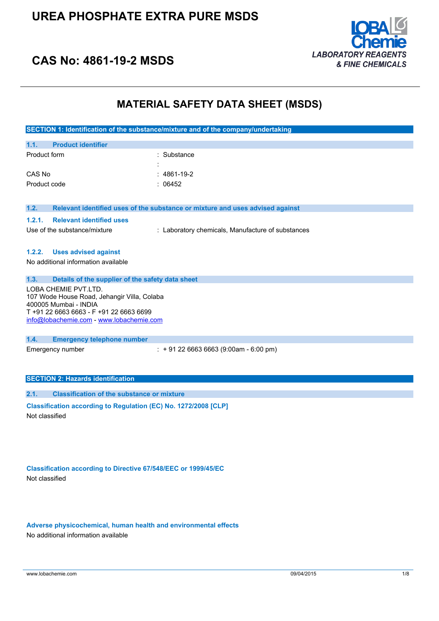

## **CAS No: 4861-19-2 MSDS**

### **MATERIAL SAFETY DATA SHEET (MSDS)**

|                                                                                                                                                                                     | SECTION 1: Identification of the substance/mixture and of the company/undertaking |
|-------------------------------------------------------------------------------------------------------------------------------------------------------------------------------------|-----------------------------------------------------------------------------------|
| <b>Product identifier</b><br>1.1.                                                                                                                                                   |                                                                                   |
| Product form                                                                                                                                                                        | : Substance                                                                       |
| CAS No                                                                                                                                                                              | $: 4861 - 19 - 2$                                                                 |
| Product code                                                                                                                                                                        | : 06452                                                                           |
| 1.2.                                                                                                                                                                                | Relevant identified uses of the substance or mixture and uses advised against     |
| <b>Relevant identified uses</b><br>1.2.1.                                                                                                                                           |                                                                                   |
| Use of the substance/mixture                                                                                                                                                        | : Laboratory chemicals, Manufacture of substances                                 |
| 1.2.2.<br><b>Uses advised against</b>                                                                                                                                               |                                                                                   |
| No additional information available                                                                                                                                                 |                                                                                   |
| 1.3.<br>Details of the supplier of the safety data sheet                                                                                                                            |                                                                                   |
| LOBA CHEMIE PVT.LTD.<br>107 Wode House Road, Jehangir Villa, Colaba<br>400005 Mumbai - INDIA<br>T +91 22 6663 6663 - F +91 22 6663 6699<br>info@lobachemie.com - www.lobachemie.com |                                                                                   |
| 1.4.<br><b>Emergency telephone number</b>                                                                                                                                           |                                                                                   |
| Emergency number                                                                                                                                                                    | $: +912266636663(9:00am - 6:00 pm)$                                               |
| <b>SECTION 2: Hazards identification</b>                                                                                                                                            |                                                                                   |
| <b>Classification of the substance or mixture</b><br>2.1.                                                                                                                           |                                                                                   |
| Classification according to Regulation (EC) No. 1272/2008 [CLP]<br>Not classified                                                                                                   |                                                                                   |

**Classification according to Directive 67/548/EEC or 1999/45/EC** Not classified

**Adverse physicochemical, human health and environmental effects** No additional information available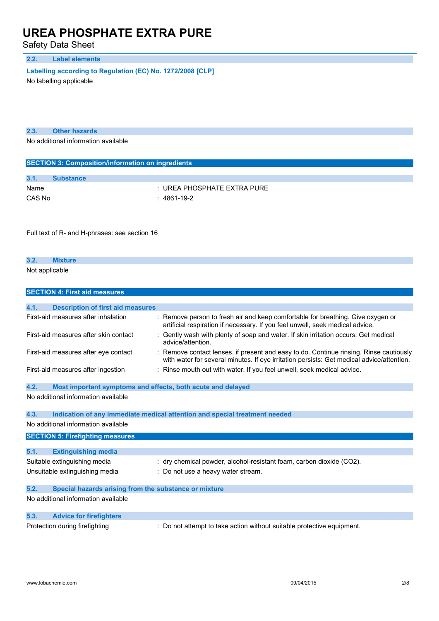Safety Data Sheet

#### **2.2. Label elements**

**Labelling according to** Regulation (EC) No. 1272/2008 [CLP]

No labelling applicable

| 2.3. | <b>Other hazards</b> |  |
|------|----------------------|--|
|      |                      |  |

No additional information available

| <b>SECTION 3: Composition/information on ingredients</b> |                               |  |  |
|----------------------------------------------------------|-------------------------------|--|--|
|                                                          |                               |  |  |
| 3.1.                                                     | <b>Substance</b>              |  |  |
| Name                                                     | $:$ UREA PHOSPHATE EXTRA PURE |  |  |
| CAS No                                                   | : 4861-19-2                   |  |  |

Full text of R- and H-phrases: see section 16

| 3.2.           | xture |  |
|----------------|-------|--|
| Not applicable |       |  |

|      | <b>SECTION 4: First aid measures</b>                        |                                                                                                                                                                                   |
|------|-------------------------------------------------------------|-----------------------------------------------------------------------------------------------------------------------------------------------------------------------------------|
|      |                                                             |                                                                                                                                                                                   |
| 4.1. | <b>Description of first aid measures</b>                    |                                                                                                                                                                                   |
|      | First-aid measures after inhalation                         | Remove person to fresh air and keep comfortable for breathing. Give oxygen or<br>artificial respiration if necessary. If you feel unwell, seek medical advice.                    |
|      | First-aid measures after skin contact                       | Gently wash with plenty of soap and water. If skin irritation occurs: Get medical<br>advice/attention.                                                                            |
|      | First-aid measures after eye contact                        | Remove contact lenses, if present and easy to do. Continue rinsing. Rinse cautiously<br>with water for several minutes. If eye irritation persists: Get medical advice/attention. |
|      | First-aid measures after ingestion                          | Rinse mouth out with water. If you feel unwell, seek medical advice.                                                                                                              |
| 4.2. | Most important symptoms and effects, both acute and delayed |                                                                                                                                                                                   |
|      | No additional information available                         |                                                                                                                                                                                   |
|      |                                                             |                                                                                                                                                                                   |
| 4.3. |                                                             | Indication of any immediate medical attention and special treatment needed                                                                                                        |
|      | No additional information available                         |                                                                                                                                                                                   |
|      | <b>SECTION 5: Firefighting measures</b>                     |                                                                                                                                                                                   |
|      |                                                             |                                                                                                                                                                                   |
| 5.1. | <b>Extinguishing media</b>                                  |                                                                                                                                                                                   |
|      | Suitable extinguishing media                                | : dry chemical powder, alcohol-resistant foam, carbon dioxide (CO2).                                                                                                              |
|      | Unsuitable extinguishing media                              | : Do not use a heavy water stream.                                                                                                                                                |
|      |                                                             |                                                                                                                                                                                   |
| 5.2. | Special hazards arising from the substance or mixture       |                                                                                                                                                                                   |
|      | No additional information available                         |                                                                                                                                                                                   |
| 5.3. | <b>Advice for firefighters</b>                              |                                                                                                                                                                                   |
|      | Protection during firefighting                              | Do not attempt to take action without suitable protective equipment.                                                                                                              |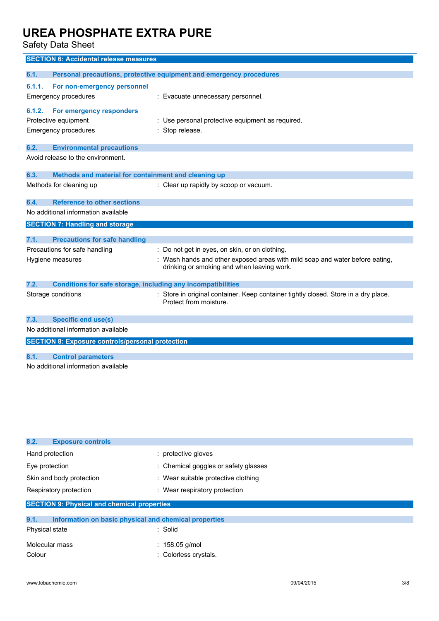Safety Data Sheet

|                             | <b>SECTION 6: Accidental release measures</b>                       |                                                                                                                          |  |
|-----------------------------|---------------------------------------------------------------------|--------------------------------------------------------------------------------------------------------------------------|--|
|                             |                                                                     |                                                                                                                          |  |
| 6.1.                        | Personal precautions, protective equipment and emergency procedures |                                                                                                                          |  |
| 6.1.1.                      | For non-emergency personnel                                         |                                                                                                                          |  |
| Emergency procedures        |                                                                     | : Evacuate unnecessary personnel.                                                                                        |  |
| 6.1.2.                      | For emergency responders                                            |                                                                                                                          |  |
| Protective equipment        |                                                                     | : Use personal protective equipment as required.                                                                         |  |
| <b>Emergency procedures</b> |                                                                     | Stop release.                                                                                                            |  |
|                             |                                                                     |                                                                                                                          |  |
| 6.2.                        | <b>Environmental precautions</b>                                    |                                                                                                                          |  |
|                             | Avoid release to the environment.                                   |                                                                                                                          |  |
| 6.3.                        | Methods and material for containment and cleaning up                |                                                                                                                          |  |
| Methods for cleaning up     |                                                                     | : Clear up rapidly by scoop or vacuum.                                                                                   |  |
|                             |                                                                     |                                                                                                                          |  |
| 6.4.                        | <b>Reference to other sections</b>                                  |                                                                                                                          |  |
|                             | No additional information available                                 |                                                                                                                          |  |
|                             | <b>SECTION 7: Handling and storage</b>                              |                                                                                                                          |  |
| 7.1.                        | <b>Precautions for safe handling</b>                                |                                                                                                                          |  |
|                             |                                                                     |                                                                                                                          |  |
|                             | Precautions for safe handling                                       | : Do not get in eyes, on skin, or on clothing.                                                                           |  |
| Hygiene measures            |                                                                     | Wash hands and other exposed areas with mild soap and water before eating,<br>drinking or smoking and when leaving work. |  |
|                             |                                                                     |                                                                                                                          |  |
| 7.2.                        | Conditions for safe storage, including any incompatibilities        |                                                                                                                          |  |
| Storage conditions          |                                                                     | : Store in original container. Keep container tightly closed. Store in a dry place.                                      |  |
|                             |                                                                     | Protect from moisture.                                                                                                   |  |
| 7.3.                        | <b>Specific end use(s)</b>                                          |                                                                                                                          |  |
|                             | No additional information available                                 |                                                                                                                          |  |
|                             |                                                                     |                                                                                                                          |  |
|                             | <b>SECTION 8: Exposure controls/personal protection</b>             |                                                                                                                          |  |
| 8.1.                        | <b>Control parameters</b>                                           |                                                                                                                          |  |
|                             | No additional information available                                 |                                                                                                                          |  |
|                             |                                                                     |                                                                                                                          |  |

| 8.2.<br><b>Exposure controls</b>                              |                                      |  |
|---------------------------------------------------------------|--------------------------------------|--|
| Hand protection                                               | : protective gloves                  |  |
| Eye protection                                                | : Chemical goggles or safety glasses |  |
| Skin and body protection                                      | : Wear suitable protective clothing  |  |
| Respiratory protection                                        | : Wear respiratory protection        |  |
| <b>SECTION 9: Physical and chemical properties</b>            |                                      |  |
| 9.1.<br>Information on basic physical and chemical properties |                                      |  |
| Physical state                                                | : Solid                              |  |

| Molecular mass | $: 158.05$ g/mol      |
|----------------|-----------------------|
| Colour         | : Colorless crystals. |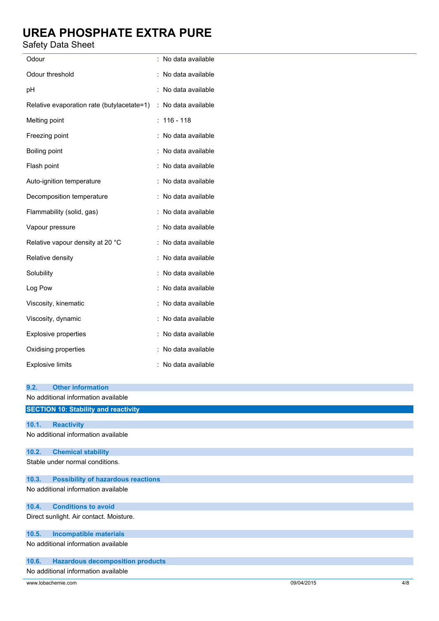#### Safety Data Sheet

| Odour                                      | : No data available |
|--------------------------------------------|---------------------|
| Odour threshold                            | : No data available |
| pH                                         | : No data available |
| Relative evaporation rate (butylacetate=1) | : No data available |
| Melting point                              | 116 - 118<br>÷      |
| Freezing point                             | : No data available |
| Boiling point                              | : No data available |
| Flash point                                | : No data available |
| Auto-ignition temperature                  | No data available   |
| Decomposition temperature                  | : No data available |
| Flammability (solid, gas)                  | : No data available |
| Vapour pressure                            | No data available   |
| Relative vapour density at 20 °C           | : No data available |
| Relative density                           | No data available   |
| Solubility                                 | : No data available |
| Log Pow                                    | : No data available |
| Viscosity, kinematic                       | No data available   |
| Viscosity, dynamic                         | No data available   |
| Explosive properties                       | No data available   |
| Oxidising properties                       | : No data available |
| <b>Explosive limits</b>                    | No data available   |
| 92<br>Other information                    |                     |
|                                            |                     |

| 9.2.  | <b>Other information</b>                    |
|-------|---------------------------------------------|
|       | No additional information available         |
|       | <b>SECTION 10: Stability and reactivity</b> |
|       |                                             |
| 10.1. | <b>Reactivity</b>                           |
|       | No additional information available         |
| 10.2. | <b>Chemical stability</b>                   |
|       | Stable under normal conditions.             |
| 10.3. | <b>Possibility of hazardous reactions</b>   |
|       | No additional information available         |
| 10.4. | <b>Conditions to avoid</b>                  |
|       | Direct sunlight. Air contact. Moisture.     |
| 10.5. | <b>Incompatible materials</b>               |
|       | No additional information available         |
| 10.6. | <b>Hazardous decomposition products</b>     |
|       | No additional information available         |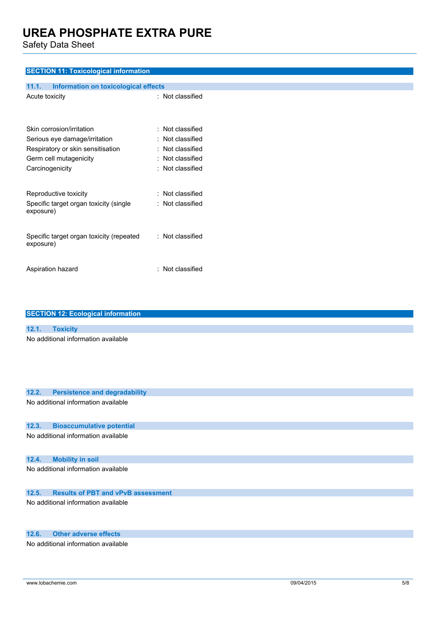Safety Data Sheet

#### **SECTION 11: Toxicological information**

| <b>Information on toxicological effects</b><br>11.1.  |                         |
|-------------------------------------------------------|-------------------------|
| Acute toxicity                                        | : Not classified        |
| Skin corrosion/irritation                             | $\pm$ Not classified    |
| Serious eye damage/irritation                         | : Not classified        |
| Respiratory or skin sensitisation                     | $\pm$ Not classified    |
| Germ cell mutagenicity                                | : Not classified        |
| Carcinogenicity                                       | $\colon$ Not classified |
|                                                       |                         |
| Reproductive toxicity                                 | $\pm$ Not classified    |
| Specific target organ toxicity (single<br>exposure)   | : Not classified        |
| Specific target organ toxicity (repeated<br>exposure) | : Not classified        |
| Aspiration hazard                                     | $:$ Not classified      |

| <b>SECTION 12: Ecological information</b>          |
|----------------------------------------------------|
|                                                    |
| 12.1.<br><b>Toxicity</b>                           |
| No additional information available                |
| 12.2.<br><b>Persistence and degradability</b>      |
| No additional information available                |
| 12.3.<br><b>Bioaccumulative potential</b>          |
| No additional information available                |
| <b>Mobility in soil</b><br>12.4.                   |
| No additional information available                |
| 12.5.<br><b>Results of PBT and vPvB assessment</b> |
| No additional information available                |

### **12.6. Other adverse effects**

No additional information available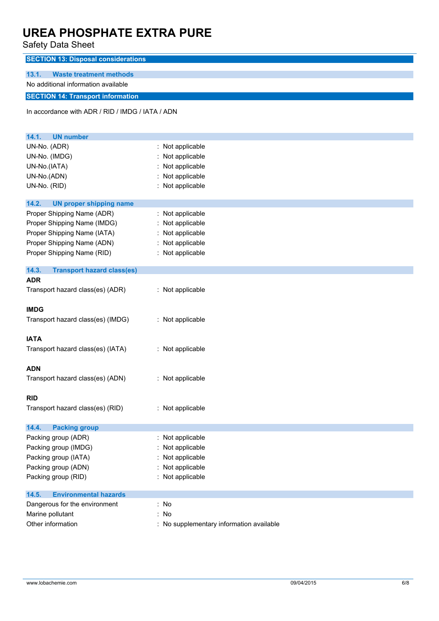Safety Data Sheet

| Salely Dala Sheet                                |                                        |  |
|--------------------------------------------------|----------------------------------------|--|
| <b>SECTION 13: Disposal considerations</b>       |                                        |  |
| 13.1.<br><b>Waste treatment methods</b>          |                                        |  |
| No additional information available              |                                        |  |
| <b>SECTION 14: Transport information</b>         |                                        |  |
|                                                  |                                        |  |
| In accordance with ADR / RID / IMDG / IATA / ADN |                                        |  |
|                                                  |                                        |  |
| 14.1.<br><b>UN number</b>                        |                                        |  |
| UN-No. (ADR)                                     | : Not applicable                       |  |
| UN-No. (IMDG)                                    | Not applicable                         |  |
| UN-No.(IATA)                                     | : Not applicable                       |  |
| UN-No.(ADN)                                      | Not applicable                         |  |
| UN-No. (RID)                                     | : Not applicable                       |  |
| 14.2.<br><b>UN proper shipping name</b>          |                                        |  |
| Proper Shipping Name (ADR)                       | Not applicable                         |  |
| Proper Shipping Name (IMDG)                      | Not applicable                         |  |
| Proper Shipping Name (IATA)                      | Not applicable                         |  |
| Proper Shipping Name (ADN)                       | Not applicable                         |  |
| Proper Shipping Name (RID)                       | : Not applicable                       |  |
|                                                  |                                        |  |
| 14.3.<br><b>Transport hazard class(es)</b>       |                                        |  |
| <b>ADR</b>                                       |                                        |  |
| Transport hazard class(es) (ADR)                 | : Not applicable                       |  |
|                                                  |                                        |  |
| <b>IMDG</b>                                      |                                        |  |
| Transport hazard class(es) (IMDG)                | : Not applicable                       |  |
|                                                  |                                        |  |
| <b>IATA</b>                                      |                                        |  |
| Transport hazard class(es) (IATA)                | : Not applicable                       |  |
|                                                  |                                        |  |
| <b>ADN</b>                                       |                                        |  |
| Transport hazard class(es) (ADN)                 | : Not applicable                       |  |
|                                                  |                                        |  |
| <b>RID</b>                                       |                                        |  |
| Transport hazard class(es) (RID)                 | : Not applicable                       |  |
|                                                  |                                        |  |
| 14.4.<br><b>Packing group</b>                    |                                        |  |
| Packing group (ADR)                              | : Not applicable                       |  |
| Packing group (IMDG)                             | Not applicable                         |  |
| Packing group (IATA)                             | Not applicable                         |  |
| Packing group (ADN)                              | Not applicable                         |  |
| Packing group (RID)                              | : Not applicable                       |  |
|                                                  |                                        |  |
| 14.5.<br><b>Environmental hazards</b>            |                                        |  |
| Dangerous for the environment                    | : No                                   |  |
| Marine pollutant                                 | : No                                   |  |
| Other information                                | No supplementary information available |  |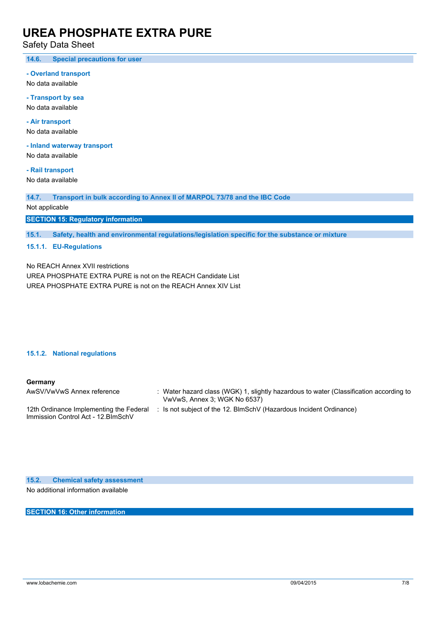Safety Data Sheet

**14.6. Special precautions for user**

**- Overland transport**

No data available

**- Transport by sea** No data available

**- Air transport** No data available

**- Inland waterway transport**

No data available

**- Rail transport** No data available

**14.7. Transport in bulk according to Annex II of MARPOL 73/78 and the IBC Code**

Not applicable

**SECTION 15: Regulatory information**

**15.1. Safety, health and environmental regulations/legislation specific for the substance or mixture**

**15.1.1. EU-Regulations**

No REACH Annex XVII restrictions

UREA PHOSPHATE EXTRA PURE is not on the REACH Candidate List UREA PHOSPHATE EXTRA PURE is not on the REACH Annex XIV List

#### **15.1.2. National regulations**

#### **Germany**

| AwSV/VwVwS Annex reference                                                     | : Water hazard class (WGK) 1, slightly hazardous to water (Classification according to<br>VwVwS, Annex 3; WGK No 6537) |
|--------------------------------------------------------------------------------|------------------------------------------------------------------------------------------------------------------------|
| 12th Ordinance Implementing the Federal<br>Immission Control Act - 12. BlmSchV | : Is not subject of the 12. BlmSchV (Hazardous Incident Ordinance)                                                     |

**15.2. Chemical safety assessment** No additional information available

**SECTION 16: Other information**